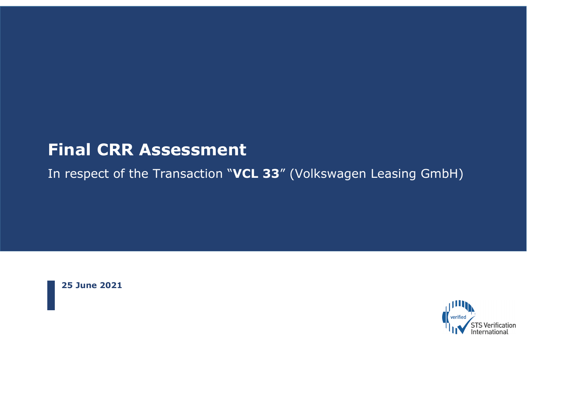# **Final CRR Assessment**

In respect of the Transaction "**VCL 33**" (Volkswagen Leasing GmbH)

**25 June 2021** 

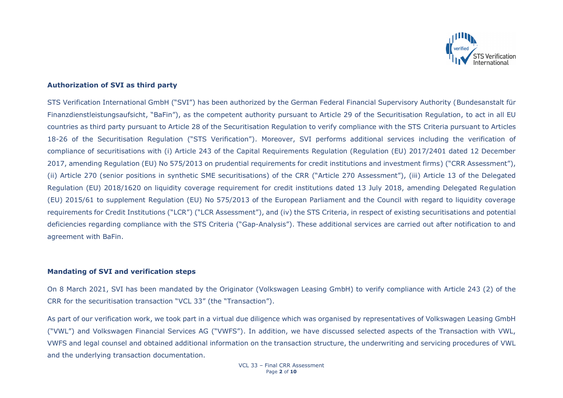

## **Authorization of SVI as third party**

STS Verification International GmbH ("SVI") has been authorized by the German Federal Financial Supervisory Authority (Bundesanstalt für Finanzdienstleistungsaufsicht, "BaFin"), as the competent authority pursuant to Article 29 of the Securitisation Regulation, to act in all EU countries as third party pursuant to Article 28 of the Securitisation Regulation to verify compliance with the STS Criteria pursuant to Articles 18-26 of the Securitisation Regulation ("STS Verification"). Moreover, SVI performs additional services including the verification of compliance of securitisations with (i) Article 243 of the Capital Requirements Regulation (Regulation (EU) 2017/2401 dated 12 December 2017, amending Regulation (EU) No 575/2013 on prudential requirements for credit institutions and investment firms) ("CRR Assessment"), (ii) Article 270 (senior positions in synthetic SME securitisations) of the CRR ("Article 270 Assessment"), (iii) Article 13 of the Delegated Regulation (EU) 2018/1620 on liquidity coverage requirement for credit institutions dated 13 July 2018, amending Delegated Regulation (EU) 2015/61 to supplement Regulation (EU) No 575/2013 of the European Parliament and the Council with regard to liquidity coverage requirements for Credit Institutions ("LCR") ("LCR Assessment"), and (iv) the STS Criteria, in respect of existing securitisations and potential deficiencies regarding compliance with the STS Criteria ("Gap-Analysis"). These additional services are carried out after notification to and agreement with BaFin.

#### **Mandating of SVI and verification steps**

On 8 March 2021, SVI has been mandated by the Originator (Volkswagen Leasing GmbH) to verify compliance with Article 243 (2) of the CRR for the securitisation transaction "VCL 33" (the "Transaction").

As part of our verification work, we took part in a virtual due diligence which was organised by representatives of Volkswagen Leasing GmbH ("VWL") and Volkswagen Financial Services AG ("VWFS"). In addition, we have discussed selected aspects of the Transaction with VWL, VWFS and legal counsel and obtained additional information on the transaction structure, the underwriting and servicing procedures of VWL and the underlying transaction documentation.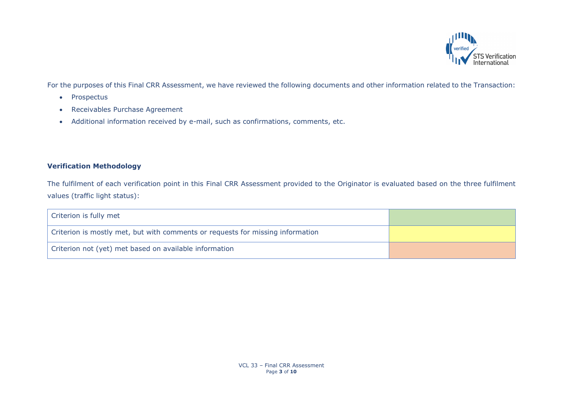

For the purposes of this Final CRR Assessment, we have reviewed the following documents and other information related to the Transaction:

- Prospectus
- Receivables Purchase Agreement
- Additional information received by e-mail, such as confirmations, comments, etc.

## **Verification Methodology**

The fulfilment of each verification point in this Final CRR Assessment provided to the Originator is evaluated based on the three fulfilment values (traffic light status):

| Criterion is fully met                                                         |  |
|--------------------------------------------------------------------------------|--|
| Criterion is mostly met, but with comments or requests for missing information |  |
| Criterion not (yet) met based on available information                         |  |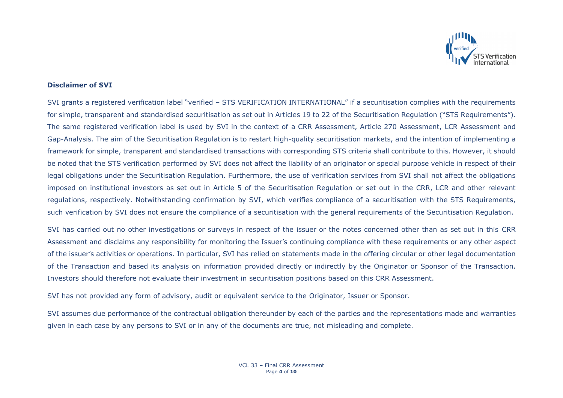

## **Disclaimer of SVI**

SVI grants a registered verification label "verified – STS VERIFICATION INTERNATIONAL" if a securitisation complies with the requirements for simple, transparent and standardised securitisation as set out in Articles 19 to 22 of the Securitisation Regulation ("STS Requirements"). The same registered verification label is used by SVI in the context of a CRR Assessment, Article 270 Assessment, LCR Assessment and Gap-Analysis. The aim of the Securitisation Regulation is to restart high-quality securitisation markets, and the intention of implementing a framework for simple, transparent and standardised transactions with corresponding STS criteria shall contribute to this. However, it should be noted that the STS verification performed by SVI does not affect the liability of an originator or special purpose vehicle in respect of their legal obligations under the Securitisation Regulation. Furthermore, the use of verification services from SVI shall not affect the obligations imposed on institutional investors as set out in Article 5 of the Securitisation Regulation or set out in the CRR, LCR and other relevant regulations, respectively. Notwithstanding confirmation by SVI, which verifies compliance of a securitisation with the STS Requirements, such verification by SVI does not ensure the compliance of a securitisation with the general requirements of the Securitisation Regulation.

SVI has carried out no other investigations or surveys in respect of the issuer or the notes concerned other than as set out in this CRR Assessment and disclaims any responsibility for monitoring the Issuer's continuing compliance with these requirements or any other aspect of the issuer's activities or operations. In particular, SVI has relied on statements made in the offering circular or other legal documentation of the Transaction and based its analysis on information provided directly or indirectly by the Originator or Sponsor of the Transaction. Investors should therefore not evaluate their investment in securitisation positions based on this CRR Assessment.

SVI has not provided any form of advisory, audit or equivalent service to the Originator, Issuer or Sponsor.

SVI assumes due performance of the contractual obligation thereunder by each of the parties and the representations made and warranties given in each case by any persons to SVI or in any of the documents are true, not misleading and complete.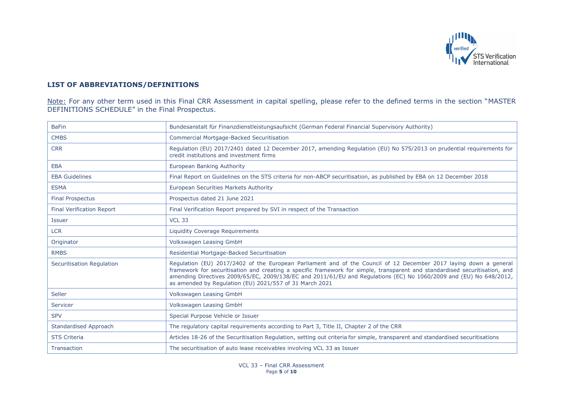

## **LIST OF ABBREVIATIONS/DEFINITIONS**

Note: For any other term used in this Final CRR Assessment in capital spelling, please refer to the defined terms in the section "MASTER DEFINITIONS SCHEDULE" in the Final Prospectus.

| <b>BaFin</b>                     | Bundesanstalt für Finanzdienstleistungsaufsicht (German Federal Financial Supervisory Authority)                                                                                                                                                                                                                                                                                                                                  |
|----------------------------------|-----------------------------------------------------------------------------------------------------------------------------------------------------------------------------------------------------------------------------------------------------------------------------------------------------------------------------------------------------------------------------------------------------------------------------------|
| <b>CMBS</b>                      | <b>Commercial Mortgage-Backed Securitisation</b>                                                                                                                                                                                                                                                                                                                                                                                  |
| <b>CRR</b>                       | Regulation (EU) 2017/2401 dated 12 December 2017, amending Regulation (EU) No 575/2013 on prudential requirements for<br>credit institutions and investment firms                                                                                                                                                                                                                                                                 |
| <b>EBA</b>                       | European Banking Authority                                                                                                                                                                                                                                                                                                                                                                                                        |
| <b>EBA Guidelines</b>            | Final Report on Guidelines on the STS criteria for non-ABCP securitisation, as published by EBA on 12 December 2018                                                                                                                                                                                                                                                                                                               |
| <b>ESMA</b>                      | <b>European Securities Markets Authority</b>                                                                                                                                                                                                                                                                                                                                                                                      |
| <b>Final Prospectus</b>          | Prospectus dated 21 June 2021                                                                                                                                                                                                                                                                                                                                                                                                     |
| <b>Final Verification Report</b> | Final Verification Report prepared by SVI in respect of the Transaction                                                                                                                                                                                                                                                                                                                                                           |
| <b>Issuer</b>                    | <b>VCL 33</b>                                                                                                                                                                                                                                                                                                                                                                                                                     |
| <b>LCR</b>                       | <b>Liquidity Coverage Requirements</b>                                                                                                                                                                                                                                                                                                                                                                                            |
| Originator                       | <b>Volkswagen Leasing GmbH</b>                                                                                                                                                                                                                                                                                                                                                                                                    |
| <b>RMBS</b>                      | Residential Mortgage-Backed Securitisation                                                                                                                                                                                                                                                                                                                                                                                        |
| Securitisation Regulation        | Regulation (EU) 2017/2402 of the European Parliament and of the Council of 12 December 2017 laying down a general<br>framework for securitisation and creating a specific framework for simple, transparent and standardised securitisation, and<br>amending Directives 2009/65/EC, 2009/138/EC and 2011/61/EU and Regulations (EC) No 1060/2009 and (EU) No 648/2012,<br>as amended by Regulation (EU) 2021/557 of 31 March 2021 |
| Seller                           | Volkswagen Leasing GmbH                                                                                                                                                                                                                                                                                                                                                                                                           |
| Servicer                         | Volkswagen Leasing GmbH                                                                                                                                                                                                                                                                                                                                                                                                           |
| <b>SPV</b>                       | Special Purpose Vehicle or Issuer                                                                                                                                                                                                                                                                                                                                                                                                 |
| <b>Standardised Approach</b>     | The regulatory capital requirements according to Part 3, Title II, Chapter 2 of the CRR                                                                                                                                                                                                                                                                                                                                           |
| <b>STS Criteria</b>              | Articles 18-26 of the Securitisation Regulation, setting out criteria for simple, transparent and standardised securitisations                                                                                                                                                                                                                                                                                                    |
| <b>Transaction</b>               | The securitisation of auto lease receivables involving VCL 33 as Issuer                                                                                                                                                                                                                                                                                                                                                           |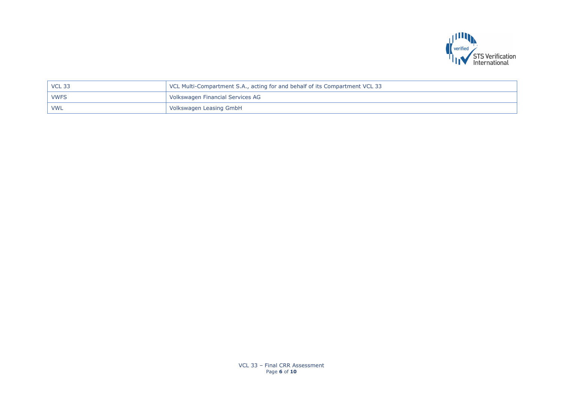

| $\mid$ VCL 33 | VCL Multi-Compartment S.A., acting for and behalf of its Compartment VCL 33 |
|---------------|-----------------------------------------------------------------------------|
| i VWFS        | Volkswagen Financial Services AG                                            |
| <b>VWL</b>    | Volkswagen Leasing GmbH                                                     |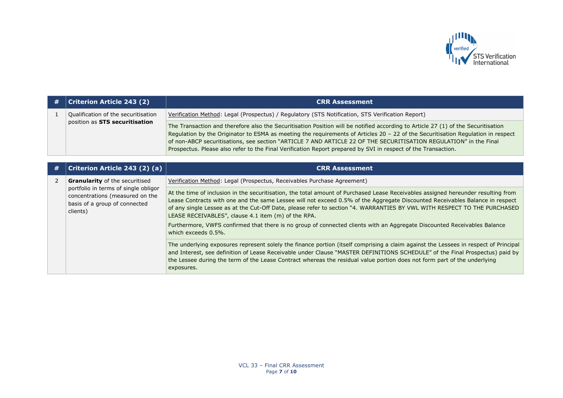

| # | <b>Criterion Article 243 (2)</b>                                              | <b>CRR Assessment</b>                                                                                                                                                                                                                                                                                                                                                                                                                                                                                       |
|---|-------------------------------------------------------------------------------|-------------------------------------------------------------------------------------------------------------------------------------------------------------------------------------------------------------------------------------------------------------------------------------------------------------------------------------------------------------------------------------------------------------------------------------------------------------------------------------------------------------|
|   | Qualification of the securitisation<br>position as STS securitisation         | Verification Method: Legal (Prospectus) / Regulatory (STS Notification, STS Verification Report)                                                                                                                                                                                                                                                                                                                                                                                                            |
|   |                                                                               | The Transaction and therefore also the Securitisation Position will be notified according to Article 27 (1) of the Securitisation<br>Regulation by the Originator to ESMA as meeting the requirements of Articles 20 - 22 of the Securitisation Regulation in respect<br>of non-ABCP securitisations, see section "ARTICLE 7 AND ARTICLE 22 OF THE SECURITISATION REGULATION" in the Final<br>Prospectus. Please also refer to the Final Verification Report prepared by SVI in respect of the Transaction. |
|   |                                                                               |                                                                                                                                                                                                                                                                                                                                                                                                                                                                                                             |
| # | Criterion Article 243 (2) (a)                                                 | <b>CRR Assessment</b>                                                                                                                                                                                                                                                                                                                                                                                                                                                                                       |
|   | <b>Granularity</b> of the securitised<br>portfolio in terms of single obligor | Verification Method: Legal (Prospectus, Receivables Purchase Agreement)                                                                                                                                                                                                                                                                                                                                                                                                                                     |
|   |                                                                               | At the time of inclusion in the securitisation, the total amount of Purchased Lease Receivables assigned hereunder resulting from                                                                                                                                                                                                                                                                                                                                                                           |

clients)

concentrations (measured on the basis of a group of connected At the time of inclusion in the securitisation, the total amount of Purchased Lease Receivables assigned hereunder resulting from Lease Contracts with one and the same Lessee will not exceed 0.5% of the Aggregate Discounted Receivables Balance in respect of any single Lessee as at the Cut-Off Date, please refer to section "4. WARRANTIES BY VWL WITH RESPECT TO THE PURCHASED LEASE RECEIVABLES", clause 4.1 item (m) of the RPA. Furthermore, VWFS confirmed that there is no group of connected clients with an Aggregate Discounted Receivables Balance

> which exceeds 0.5% The underlying exposures represent solely the finance portion (itself comprising a claim against the Lessees in respect of Principal and Interest, see definition of Lease Receivable under Clause "MASTER DEFINITIONS SCHEDULE" of the Final Prospectus) paid by

the Lessee during the term of the Lease Contract whereas the residual value portion does not form part of the underlying exposures.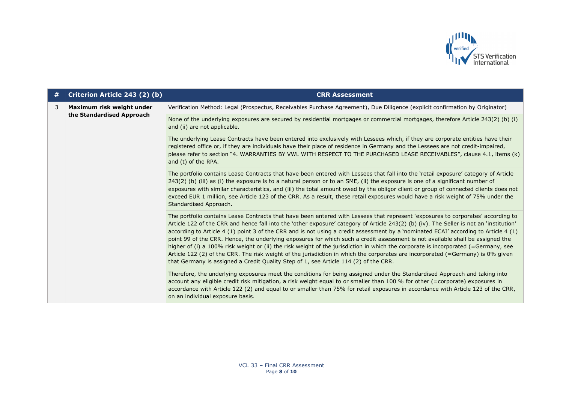

| # | Criterion Article 243 (2) (b)                          | <b>CRR Assessment</b>                                                                                                                                                                                                                                                                                                                                                                                                                                                                                                                                                                                                                                                                                                                                                                                                                                                                                                 |
|---|--------------------------------------------------------|-----------------------------------------------------------------------------------------------------------------------------------------------------------------------------------------------------------------------------------------------------------------------------------------------------------------------------------------------------------------------------------------------------------------------------------------------------------------------------------------------------------------------------------------------------------------------------------------------------------------------------------------------------------------------------------------------------------------------------------------------------------------------------------------------------------------------------------------------------------------------------------------------------------------------|
| 3 | Maximum risk weight under<br>the Standardised Approach | Verification Method: Legal (Prospectus, Receivables Purchase Agreement), Due Diligence (explicit confirmation by Originator)                                                                                                                                                                                                                                                                                                                                                                                                                                                                                                                                                                                                                                                                                                                                                                                          |
|   |                                                        | None of the underlying exposures are secured by residential mortgages or commercial mortgages, therefore Article 243(2) (b) (i)<br>and (ii) are not applicable.                                                                                                                                                                                                                                                                                                                                                                                                                                                                                                                                                                                                                                                                                                                                                       |
|   |                                                        | The underlying Lease Contracts have been entered into exclusively with Lessees which, if they are corporate entities have their<br>registered office or, if they are individuals have their place of residence in Germany and the Lessees are not credit-impaired,<br>please refer to section "4. WARRANTIES BY VWL WITH RESPECT TO THE PURCHASED LEASE RECEIVABLES", clause 4.1, items (k)<br>and (t) of the RPA.                                                                                                                                                                                                                                                                                                                                                                                                                                                                                                    |
|   |                                                        | The portfolio contains Lease Contracts that have been entered with Lessees that fall into the 'retail exposure' category of Article<br>243(2) (b) (iii) as (i) the exposure is to a natural person or to an SME, (ii) the exposure is one of a significant number of<br>exposures with similar characteristics, and (iii) the total amount owed by the obligor client or group of connected clients does not<br>exceed EUR 1 million, see Article 123 of the CRR. As a result, these retail exposures would have a risk weight of 75% under the<br>Standardised Approach.                                                                                                                                                                                                                                                                                                                                             |
|   |                                                        | The portfolio contains Lease Contracts that have been entered with Lessees that represent 'exposures to corporates' according to<br>Article 122 of the CRR and hence fall into the 'other exposure' category of Article 243(2) (b) (iv). The Seller is not an 'institution'<br>according to Article 4 (1) point 3 of the CRR and is not using a credit assessment by a 'nominated ECAI' according to Article 4 (1)<br>point 99 of the CRR. Hence, the underlying exposures for which such a credit assessment is not available shall be assigned the<br>higher of (i) a 100% risk weight or (ii) the risk weight of the jurisdiction in which the corporate is incorporated (=Germany, see<br>Article 122 (2) of the CRR. The risk weight of the jurisdiction in which the corporates are incorporated (=Germany) is 0% given<br>that Germany is assigned a Credit Quality Step of 1, see Article 114 (2) of the CRR. |
|   |                                                        | Therefore, the underlying exposures meet the conditions for being assigned under the Standardised Approach and taking into<br>account any eligible credit risk mitigation, a risk weight equal to or smaller than 100 % for other (=corporate) exposures in<br>accordance with Article 122 (2) and equal to or smaller than 75% for retail exposures in accordance with Article 123 of the CRR,<br>on an individual exposure basis.                                                                                                                                                                                                                                                                                                                                                                                                                                                                                   |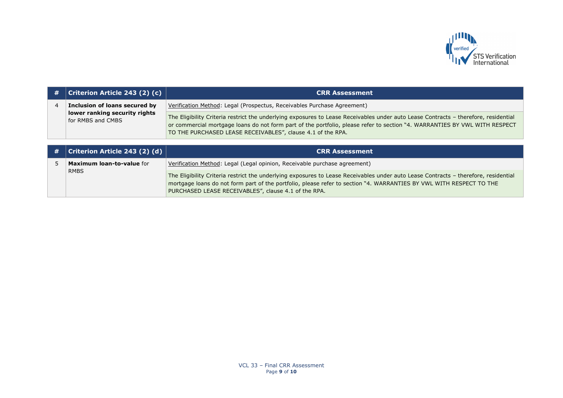

| # | <b>Criterion Article 243 (2) (c)</b>               | <b>CRR Assessment</b>                                                                                                                                                                                                                                                                                                            |
|---|----------------------------------------------------|----------------------------------------------------------------------------------------------------------------------------------------------------------------------------------------------------------------------------------------------------------------------------------------------------------------------------------|
|   | Inclusion of loans secured by                      | Verification Method: Legal (Prospectus, Receivables Purchase Agreement)                                                                                                                                                                                                                                                          |
|   | lower ranking security rights<br>for RMBS and CMBS | The Eligibility Criteria restrict the underlying exposures to Lease Receivables under auto Lease Contracts - therefore, residential<br>or commercial mortgage loans do not form part of the portfolio, please refer to section "4. WARRANTIES BY VWL WITH RESPECT<br>TO THE PURCHASED LEASE RECEIVABLES", clause 4.1 of the RPA. |

|  | #   Criterion Article 243 (2) (d) $ $           | <b>CRR Assessment</b>                                                                                                                                                                                                                                                                                              |
|--|-------------------------------------------------|--------------------------------------------------------------------------------------------------------------------------------------------------------------------------------------------------------------------------------------------------------------------------------------------------------------------|
|  | <b>Maximum loan-to-value for</b><br><b>RMBS</b> | Verification Method: Legal (Legal opinion, Receivable purchase agreement)                                                                                                                                                                                                                                          |
|  |                                                 | The Eligibility Criteria restrict the underlying exposures to Lease Receivables under auto Lease Contracts - therefore, residential<br>mortgage loans do not form part of the portfolio, please refer to section "4. WARRANTIES BY VWL WITH RESPECT TO THE<br>PURCHASED LEASE RECEIVABLES", clause 4.1 of the RPA. |